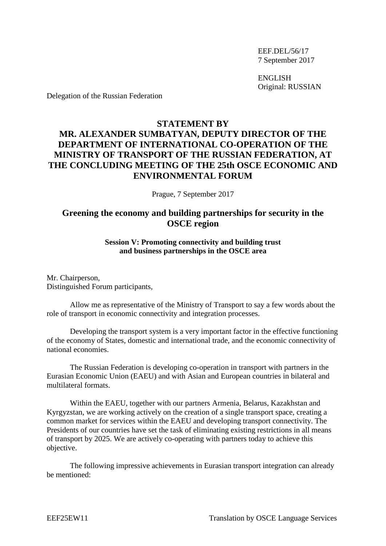EEF.DEL/56/17 7 September 2017

ENGLISH Original: RUSSIAN

Delegation of the Russian Federation

## **STATEMENT BY MR. ALEXANDER SUMBATYAN, DEPUTY DIRECTOR OF THE DEPARTMENT OF INTERNATIONAL CO-OPERATION OF THE MINISTRY OF TRANSPORT OF THE RUSSIAN FEDERATION, AT THE CONCLUDING MEETING OF THE 25th OSCE ECONOMIC AND ENVIRONMENTAL FORUM**

Prague, 7 September 2017

## **Greening the economy and building partnerships for security in the OSCE region**

## **Session V: Promoting connectivity and building trust and business partnerships in the OSCE area**

Mr. Chairperson, Distinguished Forum participants,

Allow me as representative of the Ministry of Transport to say a few words about the role of transport in economic connectivity and integration processes.

Developing the transport system is a very important factor in the effective functioning of the economy of States, domestic and international trade, and the economic connectivity of national economies.

The Russian Federation is developing co-operation in transport with partners in the Eurasian Economic Union (EAEU) and with Asian and European countries in bilateral and multilateral formats.

Within the EAEU, together with our partners Armenia, Belarus, Kazakhstan and Kyrgyzstan, we are working actively on the creation of a single transport space, creating a common market for services within the EAEU and developing transport connectivity. The Presidents of our countries have set the task of eliminating existing restrictions in all means of transport by 2025. We are actively co-operating with partners today to achieve this objective.

The following impressive achievements in Eurasian transport integration can already be mentioned: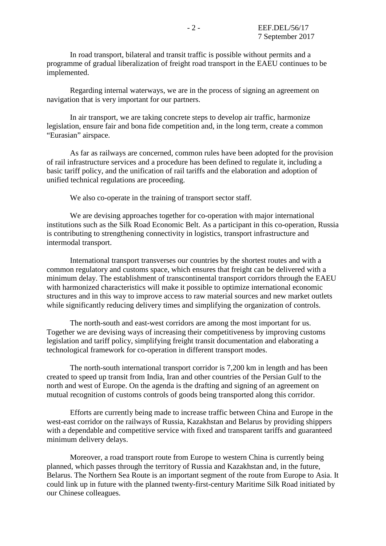In road transport, bilateral and transit traffic is possible without permits and a programme of gradual liberalization of freight road transport in the EAEU continues to be implemented.

Regarding internal waterways, we are in the process of signing an agreement on navigation that is very important for our partners.

In air transport, we are taking concrete steps to develop air traffic, harmonize legislation, ensure fair and bona fide competition and, in the long term, create a common "Eurasian" airspace.

As far as railways are concerned, common rules have been adopted for the provision of rail infrastructure services and a procedure has been defined to regulate it, including a basic tariff policy, and the unification of rail tariffs and the elaboration and adoption of unified technical regulations are proceeding.

We also co-operate in the training of transport sector staff.

We are devising approaches together for co-operation with major international institutions such as the Silk Road Economic Belt. As a participant in this co-operation, Russia is contributing to strengthening connectivity in logistics, transport infrastructure and intermodal transport.

International transport transverses our countries by the shortest routes and with a common regulatory and customs space, which ensures that freight can be delivered with a minimum delay. The establishment of transcontinental transport corridors through the EAEU with harmonized characteristics will make it possible to optimize international economic structures and in this way to improve access to raw material sources and new market outlets while significantly reducing delivery times and simplifying the organization of controls.

The north-south and east-west corridors are among the most important for us. Together we are devising ways of increasing their competitiveness by improving customs legislation and tariff policy, simplifying freight transit documentation and elaborating a technological framework for co-operation in different transport modes.

The north-south international transport corridor is 7,200 km in length and has been created to speed up transit from India, Iran and other countries of the Persian Gulf to the north and west of Europe. On the agenda is the drafting and signing of an agreement on mutual recognition of customs controls of goods being transported along this corridor.

Efforts are currently being made to increase traffic between China and Europe in the west-east corridor on the railways of Russia, Kazakhstan and Belarus by providing shippers with a dependable and competitive service with fixed and transparent tariffs and guaranteed minimum delivery delays.

Moreover, a road transport route from Europe to western China is currently being planned, which passes through the territory of Russia and Kazakhstan and, in the future, Belarus. The Northern Sea Route is an important segment of the route from Europe to Asia. It could link up in future with the planned twenty-first-century Maritime Silk Road initiated by our Chinese colleagues.